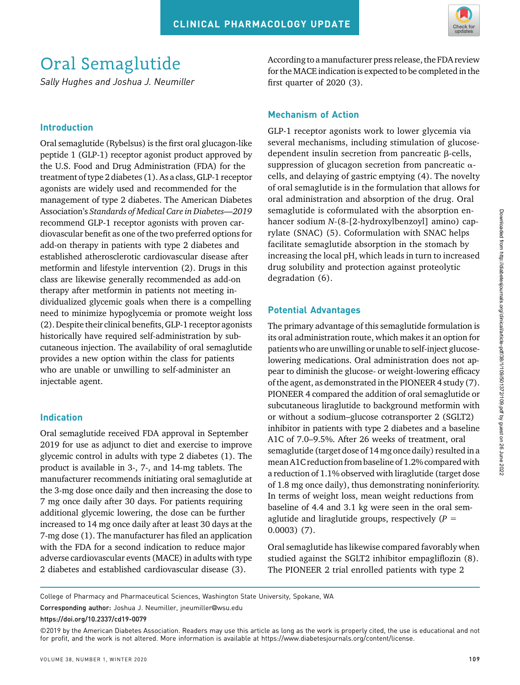

# Oral Semaglutide

Sally Hughes and Joshua J. Neumiller

## Introduction

Oral semaglutide (Rybelsus) is the first oral glucagon-like peptide 1 (GLP-1) receptor agonist product approved by the U.S. Food and Drug Administration (FDA) for the treatment of type 2 diabetes (1). As a class, GLP-1 receptor agonists are widely used and recommended for the management of type 2 diabetes. The American Diabetes Association's Standards of Medical Care in Diabetes—2019 recommend GLP-1 receptor agonists with proven cardiovascular benefit as one of the two preferred options for add-on therapy in patients with type 2 diabetes and established atherosclerotic cardiovascular disease after metformin and lifestyle intervention (2). Drugs in this class are likewise generally recommended as add-on therapy after metformin in patients not meeting individualized glycemic goals when there is a compelling need to minimize hypoglycemia or promote weight loss (2). Despite their clinical benefits, GLP-1 receptor agonists historically have required self-administration by subcutaneous injection. The availability of oral semaglutide provides a new option within the class for patients who are unable or unwilling to self-administer an injectable agent.

# Indication

Oral semaglutide received FDA approval in September 2019 for use as adjunct to diet and exercise to improve glycemic control in adults with type 2 diabetes (1). The product is available in 3-, 7-, and 14-mg tablets. The manufacturer recommends initiating oral semaglutide at the 3-mg dose once daily and then increasing the dose to 7 mg once daily after 30 days. For patients requiring additional glycemic lowering, the dose can be further increased to 14 mg once daily after at least 30 days at the 7-mg dose (1). The manufacturer has filed an application with the FDA for a second indication to reduce major adverse cardiovascular events (MACE) in adults with type 2 diabetes and established cardiovascular disease (3).

According to a manufacturer press release, the FDA review for the MACE indication is expected to be completed in the first quarter of 2020 (3).

# Mechanism of Action

GLP-1 receptor agonists work to lower glycemia via several mechanisms, including stimulation of glucosedependent insulin secretion from pancreatic  $\beta$ -cells, suppression of glucagon secretion from pancreatic  $\alpha$ cells, and delaying of gastric emptying (4). The novelty of oral semaglutide is in the formulation that allows for oral administration and absorption of the drug. Oral semaglutide is coformulated with the absorption enhancer sodium N-(8-[2-hydroxylbenzoyl] amino) caprylate (SNAC) (5). Coformulation with SNAC helps facilitate semaglutide absorption in the stomach by increasing the local pH, which leads in turn to increased drug solubility and protection against proteolytic degradation (6).

# Potential Advantages

The primary advantage of this semaglutide formulation is its oral administration route, which makes it an option for patients who are unwilling or unable to self-inject glucoselowering medications. Oral administration does not appear to diminish the glucose- or weight-lowering efficacy of the agent, as demonstrated in the PIONEER 4 study (7). PIONEER 4 compared the addition of oral semaglutide or subcutaneous liraglutide to background metformin with or without a sodium–glucose cotransporter 2 (SGLT2) inhibitor in patients with type 2 diabetes and a baseline A1C of 7.0–9.5%. After 26 weeks of treatment, oral semaglutide (target dose of 14 mg once daily) resulted in a mean A1C reduction from baseline of 1.2% compared with a reduction of 1.1% observed with liraglutide (target dose of 1.8 mg once daily), thus demonstrating noninferiority. In terms of weight loss, mean weight reductions from baseline of 4.4 and 3.1 kg were seen in the oral semaglutide and liraglutide groups, respectively  $(P =$ 0.0003) (7).

Oral semaglutide has likewise compared favorably when studied against the SGLT2 inhibitor empagliflozin (8). The PIONEER 2 trial enrolled patients with type 2

College of Pharmacy and Pharmaceutical Sciences, Washington State University, Spokane, WA

Corresponding author: Joshua J. Neumiller, [jneumiller](mailto:jneumiller@wsu.edu)@wsu.edu

[https://doi.org/10.2337/cd19-0079](https://dx.doi.org/10.2337/cd19-0079)

<sup>©2019</sup> by the American Diabetes Association. Readers may use this article as long as the work is properly cited, the use is educational and not for profit, and the work is not altered. More information is available at [https://www.diabetesjournals.org/content/license.](https://www.diabetesjournals.org/content/license)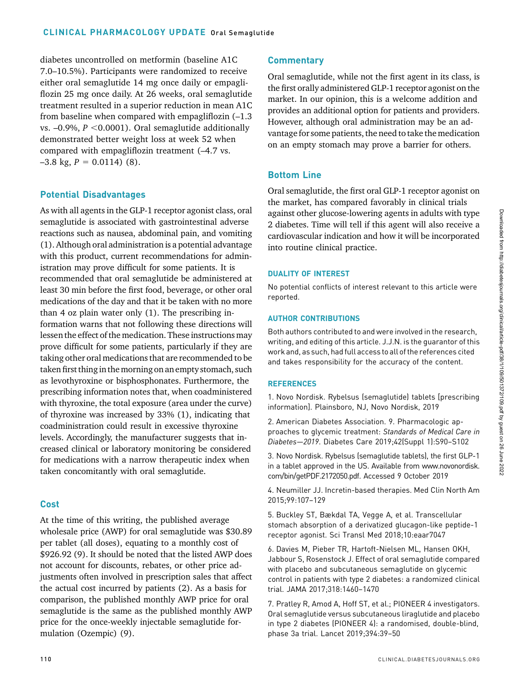diabetes uncontrolled on metformin (baseline A1C 7.0–10.5%). Participants were randomized to receive either oral semaglutide 14 mg once daily or empagliflozin 25 mg once daily. At 26 weeks, oral semaglutide treatment resulted in a superior reduction in mean A1C from baseline when compared with empagliflozin (–1.3 vs.  $-0.9\%$ ,  $P < 0.0001$ ). Oral semaglutide additionally demonstrated better weight loss at week 52 when compared with empagliflozin treatment (–4.7 vs.  $-3.8$  kg,  $P = 0.0114$  (8).

# Potential Disadvantages

As with all agents in the GLP-1 receptor agonist class, oral semaglutide is associated with gastrointestinal adverse reactions such as nausea, abdominal pain, and vomiting (1). Although oral administration is a potential advantage with this product, current recommendations for administration may prove difficult for some patients. It is recommended that oral semaglutide be administered at least 30 min before the first food, beverage, or other oral medications of the day and that it be taken with no more than 4 oz plain water only (1). The prescribing information warns that not following these directions will lessen the effect of the medication. These instructions may prove difficult for some patients, particularly if they are taking other oral medications that are recommended to be taken first thing in the morning on an empty stomach, such as levothyroxine or bisphosphonates. Furthermore, the prescribing information notes that, when coadministered with thyroxine, the total exposure (area under the curve) of thyroxine was increased by 33% (1), indicating that coadministration could result in excessive thyroxine levels. Accordingly, the manufacturer suggests that increased clinical or laboratory monitoring be considered for medications with a narrow therapeutic index when taken concomitantly with oral semaglutide.

## Cost

At the time of this writing, the published average wholesale price (AWP) for oral semaglutide was \$30.89 per tablet (all doses), equating to a monthly cost of \$926.92 (9). It should be noted that the listed AWP does not account for discounts, rebates, or other price adjustments often involved in prescription sales that affect the actual cost incurred by patients (2). As a basis for comparison, the published monthly AWP price for oral semaglutide is the same as the published monthly AWP price for the once-weekly injectable semaglutide formulation (Ozempic) (9).

# **Commentary**

Oral semaglutide, while not the first agent in its class, is the first orally administered GLP-1 receptor agonist on the market. In our opinion, this is a welcome addition and provides an additional option for patients and providers. However, although oral administration may be an advantage for some patients, the need to take the medication on an empty stomach may prove a barrier for others.

# Bottom Line

Oral semaglutide, the first oral GLP-1 receptor agonist on the market, has compared favorably in clinical trials against other glucose-lowering agents in adults with type 2 diabetes. Time will tell if this agent will also receive a cardiovascular indication and how it will be incorporated into routine clinical practice.

### DUALITY OF INTEREST

No potential conflicts of interest relevant to this article were reported.

### AUTHOR CONTRIBUTIONS

Both authors contributed to and were involved in the research, writing, and editing of this article. J.J.N. is the guarantor of this work and, as such, had full access to all of the references cited and takes responsibility for the accuracy of the content.

### **REFERENCES**

1. Novo Nordisk. Rybelsus (semaglutide) tablets [prescribing information]. Plainsboro, NJ, Novo Nordisk, 2019

2. American Diabetes Association. 9. Pharmacologic approaches to glycemic treatment: Standards of Medical Care in Diabetes—2019. Diabetes Care 2019;42(Suppl 1):S90–S102

3. Novo Nordisk. Rybelsus (semaglutide tablets), the first GLP-1 in a tablet approved in the US. Available from [www.novonordisk.](http://www.novonordisk.com/bin/getPDF.2172050.pdf) [com/bin/getPDF.2172050.pdf](http://www.novonordisk.com/bin/getPDF.2172050.pdf). Accessed 9 October 2019

4. Neumiller JJ. Incretin-based therapies. Med Clin North Am 2015;99:107–129

5. Buckley ST, Bækdal TA, Vegge A, et al. Transcellular stomach absorption of a derivatized glucagon-like peptide-1 receptor agonist. Sci Transl Med 2018;10:eaar7047

6. Davies M, Pieber TR, Hartoft-Nielsen ML, Hansen OKH, Jabbour S, Rosenstock J. Effect of oral semaglutide compared with placebo and subcutaneous semaglutide on glycemic control in patients with type 2 diabetes: a randomized clinical trial. JAMA 2017;318:1460–1470

7. Pratley R, Amod A, Hoff ST, et al.; PIONEER 4 investigators. Oral semaglutide versus subcutaneous liraglutide and placebo in type 2 diabetes (PIONEER 4): a randomised, double-blind, phase 3a trial. Lancet 2019;394:39–50